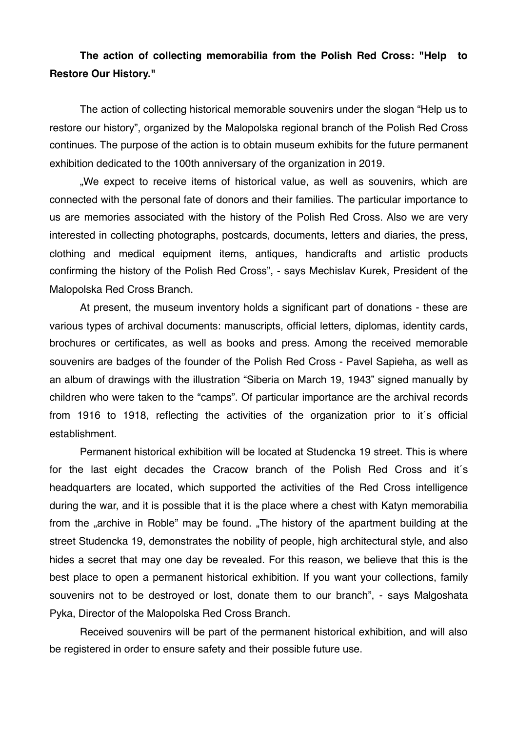## **The action of collecting memorabilia from the Polish Red Cross: "Help to Restore Our History."**

The action of collecting historical memorable souvenirs under the slogan "Help us to restore our history", organized by the Malopolska regional branch of the Polish Red Cross continues. The purpose of the action is to obtain museum exhibits for the future permanent exhibition dedicated to the 100th anniversary of the organization in 2019.

.We expect to receive items of historical value, as well as souvenirs, which are connected with the personal fate of donors and their families. The particular importance to us are memories associated with the history of the Polish Red Cross. Also we are very interested in collecting photographs, postcards, documents, letters and diaries, the press, clothing and medical equipment items, antiques, handicrafts and artistic products confirming the history of the Polish Red Cross", - says Mechislav Kurek, President of the Malopolska Red Cross Branch.

At present, the museum inventory holds a significant part of donations - these are various types of archival documents: manuscripts, official letters, diplomas, identity cards, brochures or certificates, as well as books and press. Among the received memorable souvenirs are badges of the founder of the Polish Red Cross - Pavel Sapieha, as well as an album of drawings with the illustration "Siberia on March 19, 1943" signed manually by children who were taken to the "camps". Of particular importance are the archival records from 1916 to 1918, reflecting the activities of the organization prior to it´s official establishment.

Permanent historical exhibition will be located at Studencka 19 street. This is where for the last eight decades the Cracow branch of the Polish Red Cross and it´s headquarters are located, which supported the activities of the Red Cross intelligence during the war, and it is possible that it is the place where a chest with Katyn memorabilia from the "archive in Roble" may be found. "The history of the apartment building at the street Studencka 19, demonstrates the nobility of people, high architectural style, and also hides a secret that may one day be revealed. For this reason, we believe that this is the best place to open a permanent historical exhibition. If you want your collections, family souvenirs not to be destroyed or lost, donate them to our branch", - says Malgoshata Pyka, Director of the Malopolska Red Cross Branch.

Received souvenirs will be part of the permanent historical exhibition, and will also be registered in order to ensure safety and their possible future use.